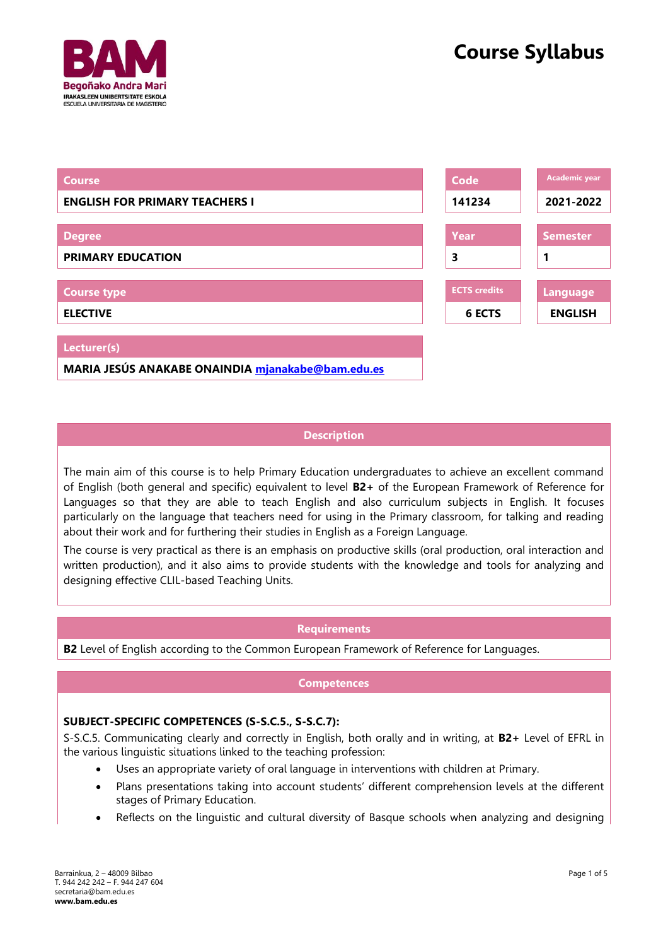



# **Description**

The main aim of this course is to help Primary Education undergraduates to achieve an excellent command of English (both general and specific) equivalent to level **B2+** of the European Framework of Reference for Languages so that they are able to teach English and also curriculum subjects in English. It focuses particularly on the language that teachers need for using in the Primary classroom, for talking and reading about their work and for furthering their studies in English as a Foreign Language.

The course is very practical as there is an emphasis on productive skills (oral production, oral interaction and written production), and it also aims to provide students with the knowledge and tools for analyzing and designing effective CLIL-based Teaching Units.

## **Requirements**

**B2** Level of English according to the Common European Framework of Reference for Languages.

## **Competences**

## **SUBJECT-SPECIFIC COMPETENCES (S-S.C.5., S-S.C.7):**

S-S.C.5. Communicating clearly and correctly in English, both orally and in writing, at **B2+** Level of EFRL in the various linguistic situations linked to the teaching profession:

- Uses an appropriate variety of oral language in interventions with children at Primary.
- Plans presentations taking into account students' different comprehension levels at the different stages of Primary Education.
- Reflects on the linguistic and cultural diversity of Basque schools when analyzing and designing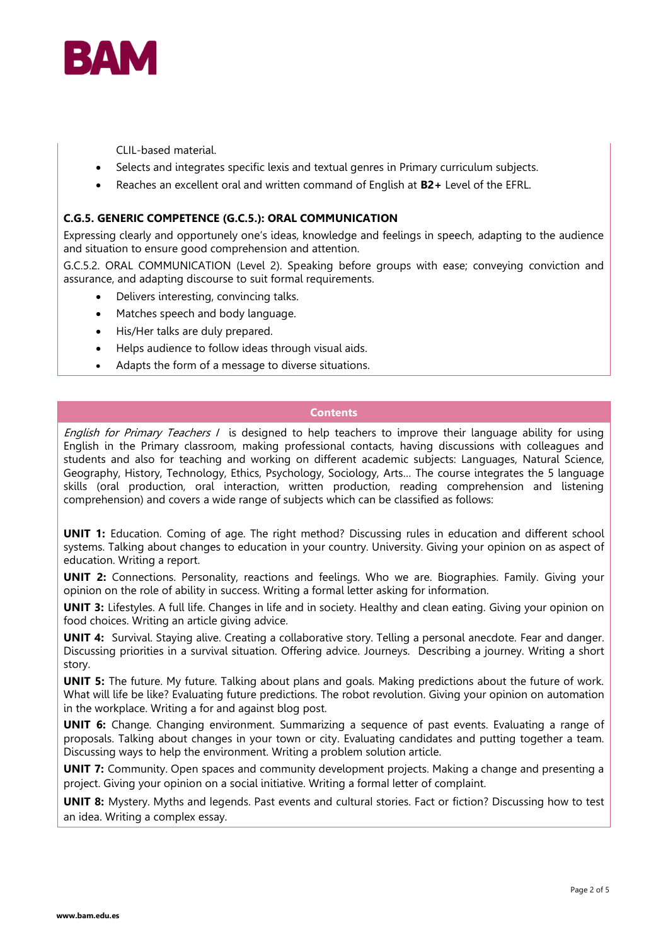

CLIL-based material.

- Selects and integrates specific lexis and textual genres in Primary curriculum subjects.
- Reaches an excellent oral and written command of English at **B2+** Level of the EFRL.

## **C.G.5. GENERIC COMPETENCE (G.C.5.): ORAL COMMUNICATION**

Expressing clearly and opportunely one's ideas, knowledge and feelings in speech, adapting to the audience and situation to ensure good comprehension and attention.

G.C.5.2. ORAL COMMUNICATION (Level 2). Speaking before groups with ease; conveying conviction and assurance, and adapting discourse to suit formal requirements.

- Delivers interesting, convincing talks.
- Matches speech and body language.
- His/Her talks are duly prepared.
- Helps audience to follow ideas through visual aids.
- Adapts the form of a message to diverse situations.

# **Contents**

English for Primary Teachers I is designed to help teachers to improve their language ability for using English in the Primary classroom, making professional contacts, having discussions with colleagues and students and also for teaching and working on different academic subjects: Languages, Natural Science, Geography, History, Technology, Ethics, Psychology, Sociology, Arts… The course integrates the 5 language skills (oral production, oral interaction, written production, reading comprehension and listening comprehension) and covers a wide range of subjects which can be classified as follows:

**UNIT 1:** Education. Coming of age. The right method? Discussing rules in education and different school systems. Talking about changes to education in your country. University. Giving your opinion on as aspect of education. Writing a report.

**UNIT 2:** Connections. Personality, reactions and feelings. Who we are. Biographies. Family. Giving your opinion on the role of ability in success. Writing a formal letter asking for information.

**UNIT 3:** Lifestyles. A full life. Changes in life and in society. Healthy and clean eating. Giving your opinion on food choices. Writing an article giving advice.

**UNIT 4:** Survival. Staying alive. Creating a collaborative story. Telling a personal anecdote. Fear and danger. Discussing priorities in a survival situation. Offering advice. Journeys. Describing a journey. Writing a short story.

**UNIT 5:** The future. My future. Talking about plans and goals. Making predictions about the future of work. What will life be like? Evaluating future predictions. The robot revolution. Giving your opinion on automation in the workplace. Writing a for and against blog post.

**UNIT 6:** Change. Changing environment. Summarizing a sequence of past events. Evaluating a range of proposals. Talking about changes in your town or city. Evaluating candidates and putting together a team. Discussing ways to help the environment. Writing a problem solution article.

**UNIT 7:** Community. Open spaces and community development projects. Making a change and presenting a project. Giving your opinion on a social initiative. Writing a formal letter of complaint.

**UNIT 8:** Mystery. Myths and legends. Past events and cultural stories. Fact or fiction? Discussing how to test an idea. Writing a complex essay.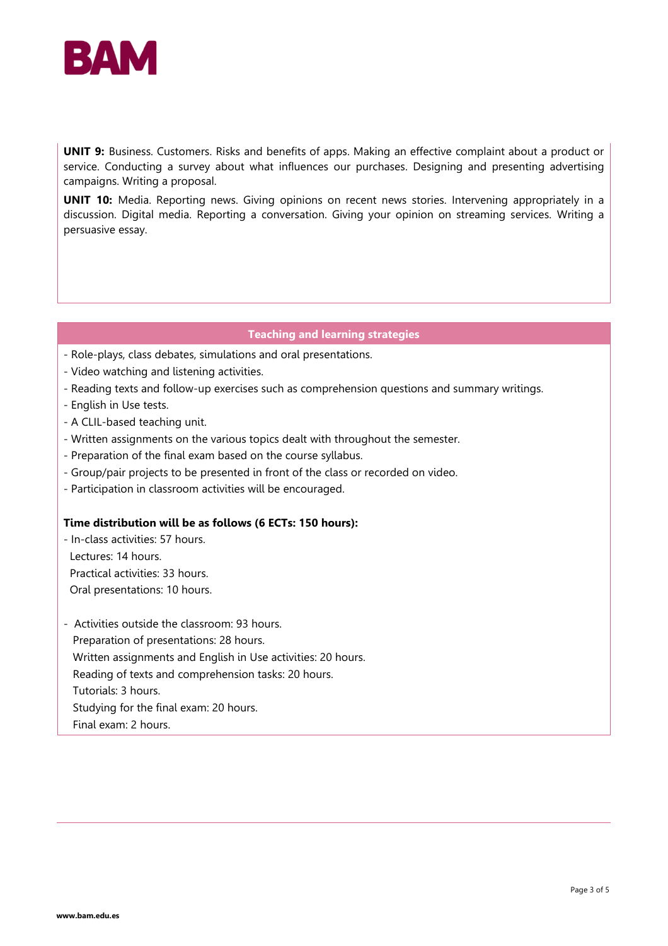

**UNIT 9:** Business. Customers. Risks and benefits of apps. Making an effective complaint about a product or service. Conducting a survey about what influences our purchases. Designing and presenting advertising campaigns. Writing a proposal.

**UNIT 10:** Media. Reporting news. Giving opinions on recent news stories. Intervening appropriately in a discussion. Digital media. Reporting a conversation. Giving your opinion on streaming services. Writing a persuasive essay.

## **Teaching and learning strategies**

- Role-plays, class debates, simulations and oral presentations.
- Video watching and listening activities.
- Reading texts and follow-up exercises such as comprehension questions and summary writings.
- English in Use tests.
- A CLIL-based teaching unit.
- Written assignments on the various topics dealt with throughout the semester.
- Preparation of the final exam based on the course syllabus.
- Group/pair projects to be presented in front of the class or recorded on video.
- Participation in classroom activities will be encouraged.

## **Time distribution will be as follows (6 ECTs: 150 hours):**

- In-class activities: 57 hours. Lectures: 14 hours. Practical activities: 33 hours. Oral presentations: 10 hours.

- Activities outside the classroom: 93 hours. Preparation of presentations: 28 hours. Written assignments and English in Use activities: 20 hours. Reading of texts and comprehension tasks: 20 hours. Tutorials: 3 hours. Studying for the final exam: 20 hours. Final exam: 2 hours.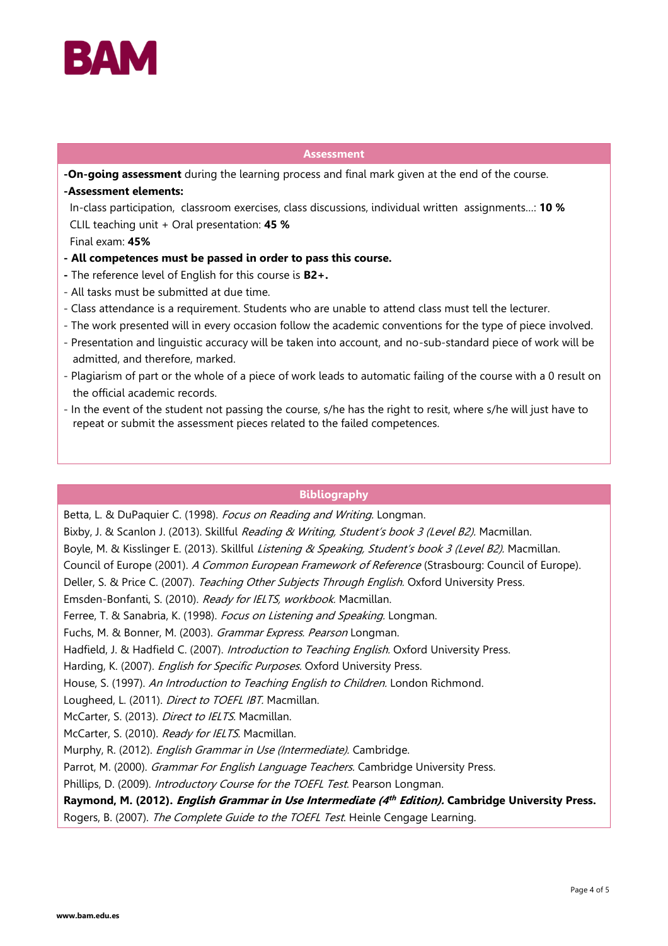

#### **Assessment**

**-On-going assessment** during the learning process and final mark given at the end of the course. **-Assessment elements:**

 In-class participation, classroom exercises, class discussions, individual written assignments…: **10 %** CLIL teaching unit + Oral presentation: **45 %**

Final exam: **45%**

- **- All competences must be passed in order to pass this course.**
- **-** The reference level of English for this course is **B2+.**
- All tasks must be submitted at due time.
- Class attendance is a requirement. Students who are unable to attend class must tell the lecturer.
- The work presented will in every occasion follow the academic conventions for the type of piece involved.
- Presentation and linguistic accuracy will be taken into account, and no-sub-standard piece of work will be admitted, and therefore, marked.
- Plagiarism of part or the whole of a piece of work leads to automatic failing of the course with a 0 result on the official academic records.
- In the event of the student not passing the course, s/he has the right to resit, where s/he will just have to repeat or submit the assessment pieces related to the failed competences.

# **Bibliography**

Betta, L. & DuPaquier C. (1998). Focus on Reading and Writing. Longman.

Bixby, J. & Scanlon J. (2013). Skillful *Reading & Writing, Student's book 3 (Level B2)*. Macmillan.

- Boyle, M. & Kisslinger E. (2013). Skillful *Listening & Speaking, Student's book 3 (Level B2).* Macmillan.
- Council of Europe (2001). A Common European Framework of Reference (Strasbourg: Council of Europe).

Deller, S. & Price C. (2007). Teaching Other Subjects Through English. Oxford University Press.

Emsden-Bonfanti, S. (2010). Ready for IELTS, workbook. Macmillan.

Ferree, T. & Sanabria, K. (1998). Focus on Listening and Speaking. Longman.

Fuchs, M. & Bonner, M. (2003). Grammar Express. Pearson Longman.

Hadfield, J. & Hadfield C. (2007). Introduction to Teaching English. Oxford University Press.

Harding, K. (2007). *English for Specific Purposes*. Oxford University Press.

House, S. (1997). An Introduction to Teaching English to Children. London Richmond.

Lougheed, L. (2011). Direct to TOEFL IBT. Macmillan.

McCarter, S. (2013). Direct to IELTS. Macmillan.

McCarter, S. (2010). Ready for IELTS. Macmillan.

Murphy, R. (2012). *English Grammar in Use (Intermediate).* Cambridge.

Parrot, M. (2000). Grammar For English Language Teachers. Cambridge University Press.

Phillips, D. (2009). Introductory Course for the TOEFL Test. Pearson Longman.

**Raymond, M. (2012). English Grammar in Use Intermediate (4 th Edition). Cambridge University Press.** 

Rogers, B. (2007). The Complete Guide to the TOEFL Test. Heinle Cengage Learning.